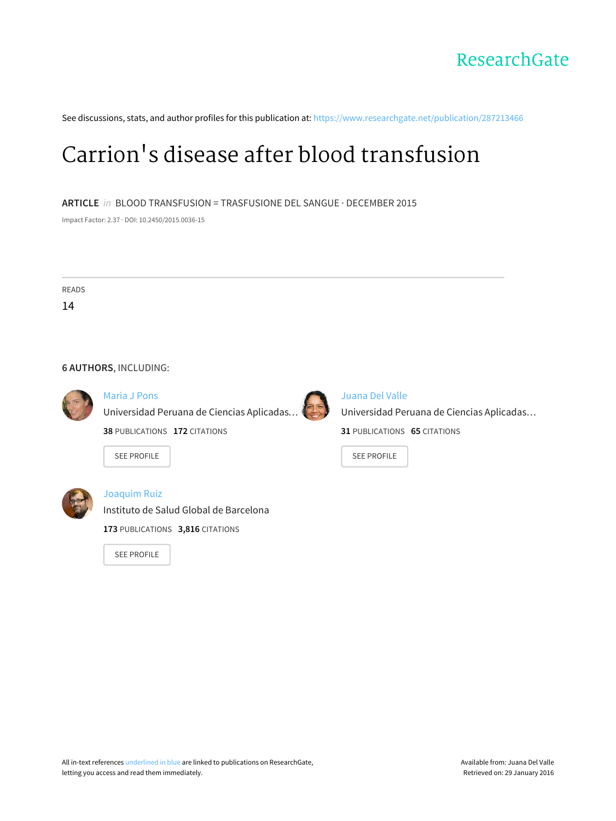

See discussions, stats, and author profiles for this publication at: [https://www.researchgate.net/publication/287213466](https://www.researchgate.net/publication/287213466_Carrion%27s_disease_after_blood_transfusion?enrichId=rgreq-5a08d329-e5db-410b-99c4-5f11c5edd573&enrichSource=Y292ZXJQYWdlOzI4NzIxMzQ2NjtBUzozMTA2MDUyMjU4ODk3OTJAMTQ1MTA2NTQ2NDc4Ng%3D%3D&el=1_x_2)

# Carrion's disease after blood [transfusion](https://www.researchgate.net/publication/287213466_Carrion%27s_disease_after_blood_transfusion?enrichId=rgreq-5a08d329-e5db-410b-99c4-5f11c5edd573&enrichSource=Y292ZXJQYWdlOzI4NzIxMzQ2NjtBUzozMTA2MDUyMjU4ODk3OTJAMTQ1MTA2NTQ2NDc4Ng%3D%3D&el=1_x_3)

**ARTICLE** in BLOOD TRANSFUSION = TRASFUSIONE DEL SANGUE · DECEMBER 2015

Impact Factor: 2.37 · DOI: 10.2450/2015.0036-15

READS 14

#### **6 AUTHORS**, INCLUDING:



## [Maria](https://www.researchgate.net/profile/Maria_Pons?enrichId=rgreq-5a08d329-e5db-410b-99c4-5f11c5edd573&enrichSource=Y292ZXJQYWdlOzI4NzIxMzQ2NjtBUzozMTA2MDUyMjU4ODk3OTJAMTQ1MTA2NTQ2NDc4Ng%3D%3D&el=1_x_5) J Pons

[Universidad](https://www.researchgate.net/institution/Universidad_Peruana_de_Ciencias_Aplicadas_UPC?enrichId=rgreq-5a08d329-e5db-410b-99c4-5f11c5edd573&enrichSource=Y292ZXJQYWdlOzI4NzIxMzQ2NjtBUzozMTA2MDUyMjU4ODk3OTJAMTQ1MTA2NTQ2NDc4Ng%3D%3D&el=1_x_6) Peruana de Ciencias Aplicadas…

**38** PUBLICATIONS **172** CITATIONS

SEE [PROFILE](https://www.researchgate.net/profile/Maria_Pons?enrichId=rgreq-5a08d329-e5db-410b-99c4-5f11c5edd573&enrichSource=Y292ZXJQYWdlOzI4NzIxMzQ2NjtBUzozMTA2MDUyMjU4ODk3OTJAMTQ1MTA2NTQ2NDc4Ng%3D%3D&el=1_x_7)



# [Joaquim](https://www.researchgate.net/profile/Joaquim_Ruiz?enrichId=rgreq-5a08d329-e5db-410b-99c4-5f11c5edd573&enrichSource=Y292ZXJQYWdlOzI4NzIxMzQ2NjtBUzozMTA2MDUyMjU4ODk3OTJAMTQ1MTA2NTQ2NDc4Ng%3D%3D&el=1_x_5) Ruiz

Instituto de Salud Global de [Barcelona](https://www.researchgate.net/institution/Instituto_de_Salud_Global_de_Barcelona?enrichId=rgreq-5a08d329-e5db-410b-99c4-5f11c5edd573&enrichSource=Y292ZXJQYWdlOzI4NzIxMzQ2NjtBUzozMTA2MDUyMjU4ODk3OTJAMTQ1MTA2NTQ2NDc4Ng%3D%3D&el=1_x_6)

**173** PUBLICATIONS **3,816** CITATIONS

SEE [PROFILE](https://www.researchgate.net/profile/Joaquim_Ruiz?enrichId=rgreq-5a08d329-e5db-410b-99c4-5f11c5edd573&enrichSource=Y292ZXJQYWdlOzI4NzIxMzQ2NjtBUzozMTA2MDUyMjU4ODk3OTJAMTQ1MTA2NTQ2NDc4Ng%3D%3D&el=1_x_7)



# [Juana](https://www.researchgate.net/profile/Juana_Del_Valle?enrichId=rgreq-5a08d329-e5db-410b-99c4-5f11c5edd573&enrichSource=Y292ZXJQYWdlOzI4NzIxMzQ2NjtBUzozMTA2MDUyMjU4ODk3OTJAMTQ1MTA2NTQ2NDc4Ng%3D%3D&el=1_x_5) Del Valle

[Universidad](https://www.researchgate.net/institution/Universidad_Peruana_de_Ciencias_Aplicadas_UPC?enrichId=rgreq-5a08d329-e5db-410b-99c4-5f11c5edd573&enrichSource=Y292ZXJQYWdlOzI4NzIxMzQ2NjtBUzozMTA2MDUyMjU4ODk3OTJAMTQ1MTA2NTQ2NDc4Ng%3D%3D&el=1_x_6) Peruana de Ciencias Aplicadas…

**31** PUBLICATIONS **65** CITATIONS

SEE [PROFILE](https://www.researchgate.net/profile/Juana_Del_Valle?enrichId=rgreq-5a08d329-e5db-410b-99c4-5f11c5edd573&enrichSource=Y292ZXJQYWdlOzI4NzIxMzQ2NjtBUzozMTA2MDUyMjU4ODk3OTJAMTQ1MTA2NTQ2NDc4Ng%3D%3D&el=1_x_7)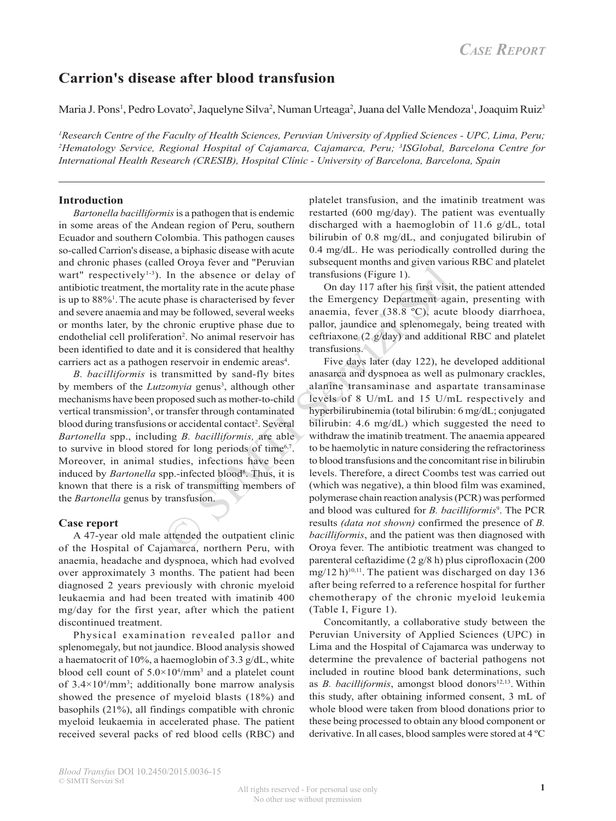# **Carrion's disease after blood transfusion**

Maria J. Pons<sup>1</sup>, Pedro Lovato<sup>2</sup>, Jaquelyne Silva<sup>2</sup>, Numan Urteaga<sup>2</sup>, Juana del Valle Mendoza<sup>1</sup>, Joaquim Ruiz<sup>3</sup>

<sup>1</sup> Research Centre of the Faculty of Health Sciences, Peruvian University of Applied Sciences - UPC, Lima, Peru; *2 Hematology Service, Regional Hospital of Cajamarca, Cajamarca, Peru; 3 ISGlobal, Barcelona Centre for International Health Research (CRESIB), Hospital Clínic - University of Barcelona, Barcelona, Spain*

# **Introduction**

*Bartonella bacilliformis* is a pathogen that is endemic in some areas of the Andean region of Peru, southern Ecuador and southern Colombia. This pathogen causes so-called Carrion's disease, a biphasic disease with acute and chronic phases (called Oroya fever and "Peruvian wart" respectively $1-3$ ). In the absence or delay of antibiotic treatment, the mortality rate in the acute phase is up to 88%<sup>1</sup>. The acute phase is characterised by fever and severe anaemia and may be followed, several weeks or months later, by the chronic eruptive phase due to endothelial cell proliferation<sup>2</sup>. No animal reservoir has been identified to date and it is considered that healthy carriers act as a pathogen reservoir in endemic areas<sup>4</sup>.

*B. bacilliformis* is transmitted by sand-fly bites by members of the *Lutzomyia* genus<sup>3</sup>, although other mechanisms have been proposed such as mother-to-child vertical transmission<sup>5</sup>, or transfer through contaminated blood during transfusions or accidental contact<sup>2</sup>. Several *Bartonella* spp., including *B. bacilliformis,* are able to survive in blood stored for long periods of time $6<sup>7</sup>$ . Moreover, in animal studies, infections have been induced by *Bartonella* spp.-infected blood<sup>8</sup>. Thus, it is known that there is a risk of transmitting members of the *Bartonella* genus by transfusion.

# **Case report**

A 47-year old male attended the outpatient clinic of the Hospital of Cajamarca, northern Peru, with anaemia, headache and dyspnoea, which had evolved over approximately 3 months. The patient had been diagnosed 2 years previously with chronic myeloid leukaemia and had been treated with imatinib 400 mg/day for the first year, after which the patient discontinued treatment.

Physical examination revealed pallor and splenomegaly, but not jaundice. Blood analysis showed a haematocrit of 10%, a haemoglobin of 3.3 g/dL, white blood cell count of  $5.0 \times 10^4/\text{mm}^3$  and a platelet count of  $3.4 \times 10^4/\text{mm}^3$ ; additionally bone marrow analysis showed the presence of myeloid blasts (18%) and basophils (21%), all findings compatible with chronic myeloid leukaemia in accelerated phase. The patient received several packs of red blood cells (RBC) and

platelet transfusion, and the imatinib treatment was restarted (600 mg/day). The patient was eventually discharged with a haemoglobin of 11.6 g/dL, total bilirubin of 0.8 mg/dL, and conjugated bilirubin of 0.4 mg/dL. He was periodically controlled during the subsequent months and given various RBC and platelet transfusions (Figure 1).

On day 117 after his first visit, the patient attended the Emergency Department again, presenting with anaemia, fever (38.8 ºC), acute bloody diarrhoea, pallor, jaundice and splenomegaly, being treated with ceftriaxone (2 g/day) and additional RBC and platelet transfusions.

Example 12 and 12 comparations and the shorter and the shorter of delay of transfissions (Figure 1).<br>
In the absence or delay of transfissions (Figure 1).<br>
mortality rate in the acute phase is characterised by fever the E Five days later (day 122), he developed additional anasarca and dyspnoea as well as pulmonary crackles, alanine transaminase and aspartate transaminase levels of 8 U/mL and 15 U/mL respectively and hyperbilirubinemia (total bilirubin: 6 mg/dL; conjugated bilirubin: 4.6 mg/dL) which suggested the need to withdraw the imatinib treatment. The anaemia appeared to be haemolytic in nature considering the refractoriness to blood transfusions and the concomitant rise in bilirubin levels. Therefore, a direct Coombs test was carried out (which was negative), a thin blood film was examined, polymerase chain reaction analysis (PCR) was performed and blood was cultured for *B. bacilliformis<sup>9</sup>*. The PCR results *(data not shown)* confirmed the presence of *B. bacilliformis*, and the patient was then diagnosed with Oroya fever. The antibiotic treatment was changed to parenteral ceftazidime (2 g/8 h) plus ciprofloxacin (200 mg/12 h)<sup>10,11</sup>. The patient was discharged on day 136 after being referred to a reference hospital for further chemotherapy of the chronic myeloid leukemia (Table I, Figure 1).

> Concomitantly, a collaborative study between the Peruvian University of Applied Sciences (UPC) in Lima and the Hospital of Cajamarca was underway to determine the prevalence of bacterial pathogens not included in routine blood bank determinations, such as *B. bacilliformis*, amongst blood donors<sup>12,13</sup>. Within this study, after obtaining informed consent, 3 mL of whole blood were taken from blood donations prior to these being processed to obtain any blood component or derivative. In all cases, blood samples were stored at 4 ºC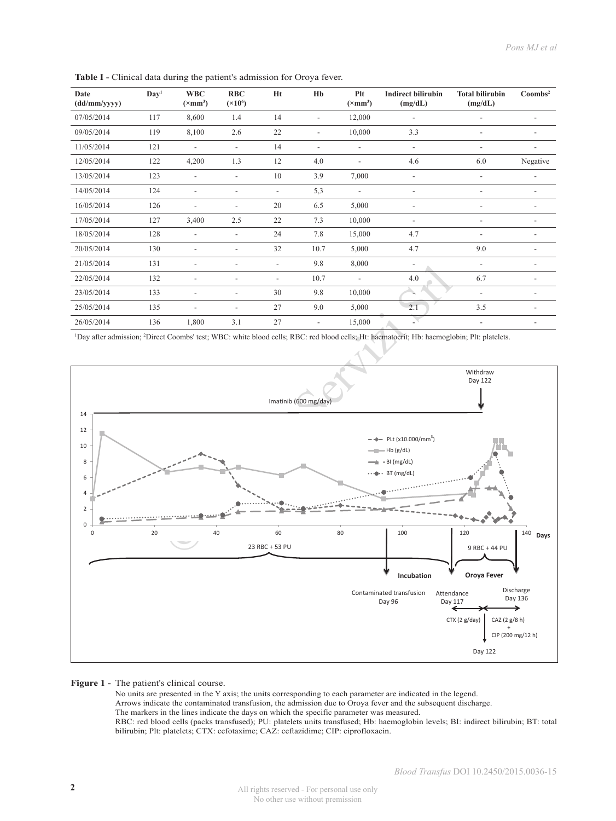| Date<br>(dd/mm/yyyy) | Day <sup>1</sup> | <b>WBC</b><br>$(\times$ mm <sup>3</sup> ) | <b>RBC</b><br>$({\times}10^6)$ | Ht                       | Hb                       | Plt<br>$(\times$ mm <sup>3</sup> ) | <b>Indirect bilirubin</b><br>(mg/dL) | <b>Total bilirubin</b><br>(mg/dL) | Coombs <sup>2</sup>          |
|----------------------|------------------|-------------------------------------------|--------------------------------|--------------------------|--------------------------|------------------------------------|--------------------------------------|-----------------------------------|------------------------------|
| 07/05/2014           | 117              | 8,600                                     | 1.4                            | 14                       | $\overline{a}$           | 12,000                             | $\overline{\phantom{a}}$             |                                   |                              |
| 09/05/2014           | 119              | 8,100                                     | 2.6                            | 22                       | $\overline{\phantom{a}}$ | 10,000                             | 3.3                                  | $\overline{\phantom{a}}$          | $\overline{\phantom{a}}$     |
| 11/05/2014           | 121              | $\overline{a}$                            | $\overline{\phantom{a}}$       | 14                       | $\overline{\phantom{a}}$ | $\overline{\phantom{a}}$           | $\overline{\phantom{a}}$             | $\overline{\phantom{0}}$          |                              |
| 12/05/2014           | 122              | 4,200                                     | 1.3                            | 12                       | 4.0                      | $\overline{a}$                     | 4.6                                  | 6.0                               | Negative                     |
| 13/05/2014           | 123              | $\overline{a}$                            | $\overline{\phantom{0}}$       | 10                       | 3.9                      | 7,000                              | $\overline{\phantom{a}}$             | $\overline{\phantom{a}}$          | $\overline{\phantom{0}}$     |
| 14/05/2014           | 124              | $\overline{\phantom{a}}$                  | $\overline{\phantom{0}}$       |                          | 5,3                      | $\overline{a}$                     | $\overline{\phantom{a}}$             | $\overline{\phantom{a}}$          | $\overline{\phantom{a}}$     |
| 16/05/2014           | 126              | $\overline{a}$                            | $\overline{a}$                 | 20                       | 6.5                      | 5,000                              | $\overline{\phantom{a}}$             | $\overline{\phantom{a}}$          | $\overline{a}$               |
| 17/05/2014           | 127              | 3,400                                     | 2.5                            | 22                       | 7.3                      | 10,000                             |                                      | $\overline{\phantom{a}}$          |                              |
| 18/05/2014           | 128              | $\overline{\phantom{a}}$                  | $\overline{\phantom{a}}$       | 24                       | 7.8                      | 15,000                             | 4.7                                  |                                   | $\overline{\phantom{0}}$     |
| 20/05/2014           | 130              |                                           | $\overline{\phantom{a}}$       | 32                       | 10.7                     | 5,000                              | 4.7                                  | 9.0                               | -                            |
| 21/05/2014           | 131              | $\overline{\phantom{a}}$                  | $\overline{\phantom{a}}$       | $\overline{\phantom{0}}$ | 9.8                      | 8,000                              | $\overline{\phantom{a}}$             | $\overline{\phantom{a}}$          | $\qquad \qquad \blacksquare$ |
| 22/05/2014           | 132              |                                           | $\overline{a}$                 |                          | 10.7                     | $\overline{\phantom{a}}$           | 4.0                                  | 6.7                               |                              |
| 23/05/2014           | 133              | $\overline{\phantom{0}}$                  | $\overline{\phantom{a}}$       | 30                       | 9.8                      | 10,000                             |                                      | $\overline{a}$                    | $\qquad \qquad \blacksquare$ |
| 25/05/2014           | 135              | $\overline{\phantom{a}}$                  | $\overline{\phantom{a}}$       | 27                       | 9.0                      | 5,000                              | 2.1                                  | 3.5                               | -                            |
| 26/05/2014           | 136              | 1,800                                     | 3.1                            | 27                       | $\overline{\phantom{a}}$ | 15,000                             |                                      | $\overline{\phantom{a}}$          | $\overline{\phantom{0}}$     |

Table I - Clinical data during the patient's admission for Oroya fever.

1 Day after admission; 2 Direct Coombs' test; WBC: white blood cells; RBC: red blood cells; Ht: haematocrit; Hb: haemoglobin; Plt: platelets.



#### **Figure 1 -** The patient's clinical course.

No units are presented in the Y axis; the units corresponding to each parameter are indicated in the legend. Arrows indicate the contaminated transfusion, the admission due to Oroya fever and the subsequent discharge. The markers in the lines indicate the days on which the specific parameter was measured. RBC: red blood cells (packs transfused); PU: platelets units transfused; Hb: haemoglobin levels; BI: indirect bilirubin; BT: total bilirubin; Plt: platelets; CTX: cefotaxime; CAZ: ceftazidime; CIP: ciprofloxacin.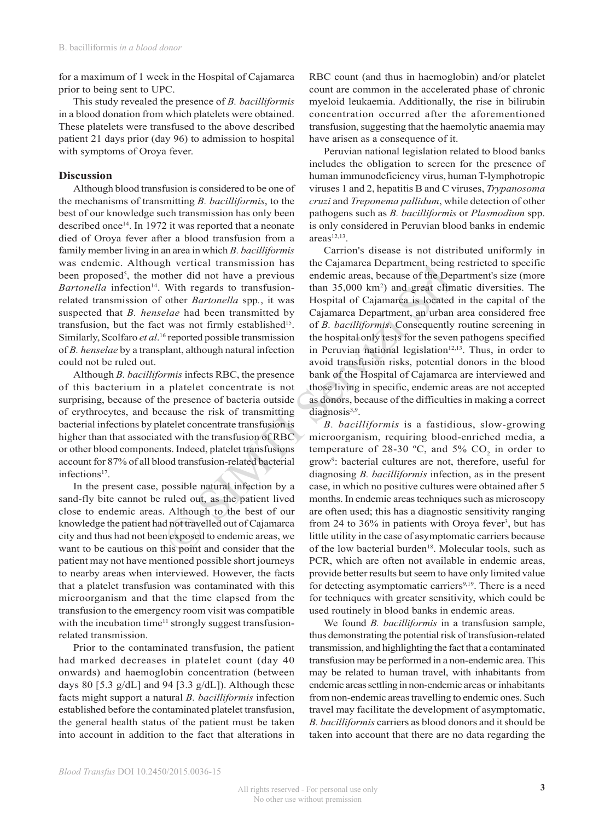for a maximum of 1 week in the Hospital of Cajamarca prior to being sent to UPC.

This study revealed the presence of *B. bacilliformis*  in a blood donation from which platelets were obtained. These platelets were transfused to the above described patient 21 days prior (day 96) to admission to hospital with symptoms of Oroya fever.

## **Discussion**

Although blood transfusion is considered to be one of the mechanisms of transmitting *B. bacilliformis*, to the best of our knowledge such transmission has only been described once<sup>14</sup>. In 1972 it was reported that a neonate died of Oroya fever after a blood transfusion from a family member living in an area in which *B. bacilliformis* was endemic. Although vertical transmission has been proposed<sup>5</sup>, the mother did not have a previous *Bartonella* infection<sup>14</sup>. With regards to transfusionrelated transmission of other *Bartonella* spp*.*, it was suspected that *B. henselae* had been transmitted by transfusion, but the fact was not firmly established<sup>15</sup>. Similarly, Scolfaro *et al*. 16 reported possible transmission of *B. henselae* by a transplant, although natural infection could not be ruled out.

Although *B. bacilliformis* infects RBC, the presence of this bacterium in a platelet concentrate is not surprising, because of the presence of bacteria outside of erythrocytes, and because the risk of transmitting bacterial infections by platelet concentrate transfusion is higher than that associated with the transfusion of RBC or other blood components. Indeed, platelet transfusions account for 87% of all blood transfusion-related bacterial infections $17$ .

In the present case, possible natural infection by a sand-fly bite cannot be ruled out, as the patient lived close to endemic areas. Although to the best of our knowledge the patient had not travelled out of Cajamarca city and thus had not been exposed to endemic areas, we want to be cautious on this point and consider that the patient may not have mentioned possible short journeys to nearby areas when interviewed. However, the facts that a platelet transfusion was contaminated with this microorganism and that the time elapsed from the transfusion to the emergency room visit was compatible with the incubation time $11$  strongly suggest transfusionrelated transmission.

Prior to the contaminated transfusion, the patient had marked decreases in platelet count (day 40 onwards) and haemoglobin concentration (between days 80 [5.3 g/dL] and 94 [3.3 g/dL]). Although these facts might support a natural *B. bacilliformis* infection established before the contaminated platelet transfusion, the general health status of the patient must be taken into account in addition to the fact that alterations in

RBC count (and thus in haemoglobin) and/or platelet count are common in the accelerated phase of chronic myeloid leukaemia. Additionally, the rise in bilirubin concentration occurred after the aforementioned transfusion, suggesting that the haemolytic anaemia may have arisen as a consequence of it.

Peruvian national legislation related to blood banks includes the obligation to screen for the presence of human immunodeficiency virus, human T-lymphotropic viruses 1 and 2, hepatitis B and C viruses, *Trypanosoma cruzi* and *Treponema pallidum*, while detection of other pathogens such as *B. bacilliformis* or *Plasmodium* spp. is only considered in Peruvian blood banks in endemic  $area<sup>12,13</sup>$ 

For the diamsinsion has the Captamac acpeanate diversion and the red in the red in the red in the red in the red in the red in the red in the red in the red in the red in the red in the red in the red in the red in the re Carrion's disease is not distributed uniformly in the Cajamarca Department, being restricted to specific endemic areas, because of the Department's size (more than 35,000 km2 ) and great climatic diversities. The Hospital of Cajamarca is located in the capital of the Cajamarca Department, an urban area considered free of *B. bacilliformis*. Consequently routine screening in the hospital only tests for the seven pathogens specified in Peruvian national legislation $12,13$ . Thus, in order to avoid transfusion risks, potential donors in the blood bank of the Hospital of Cajamarca are interviewed and those living in specific, endemic areas are not accepted as donors, because of the difficulties in making a correct  $diagonosis<sup>3,9</sup>$ .

*B. bacilliformis* is a fastidious, slow-growing microorganism, requiring blood-enriched media, a temperature of 28-30 °C, and 5%  $CO_2$  in order to grow9 : bacterial cultures are not, therefore, useful for diagnosing *B. bacilliformis* infection, as in the present case, in which no positive cultures were obtained after 5 months. In endemic areas techniques such as microscopy are often used; this has a diagnostic sensitivity ranging from 24 to  $36\%$  in patients with Oroya fever<sup>3</sup>, but has little utility in the case of asymptomatic carriers because of the low bacterial burden<sup>18</sup>. Molecular tools, such as PCR, which are often not available in endemic areas, provide better results but seem to have only limited value for detecting asymptomatic carriers<sup>9,19</sup>. There is a need for techniques with greater sensitivity, which could be used routinely in blood banks in endemic areas.

We found *B. bacilliformis* in a transfusion sample, thus demonstrating the potential risk of transfusion-related transmission, and highlighting the fact that a contaminated transfusion may be performed in a non-endemic area. This may be related to human travel, with inhabitants from endemic areas settling in non-endemic areas or inhabitants from non-endemic areas travelling to endemic ones. Such travel may facilitate the development of asymptomatic, *B. bacilliformis* carriers as blood donors and it should be taken into account that there are no data regarding the